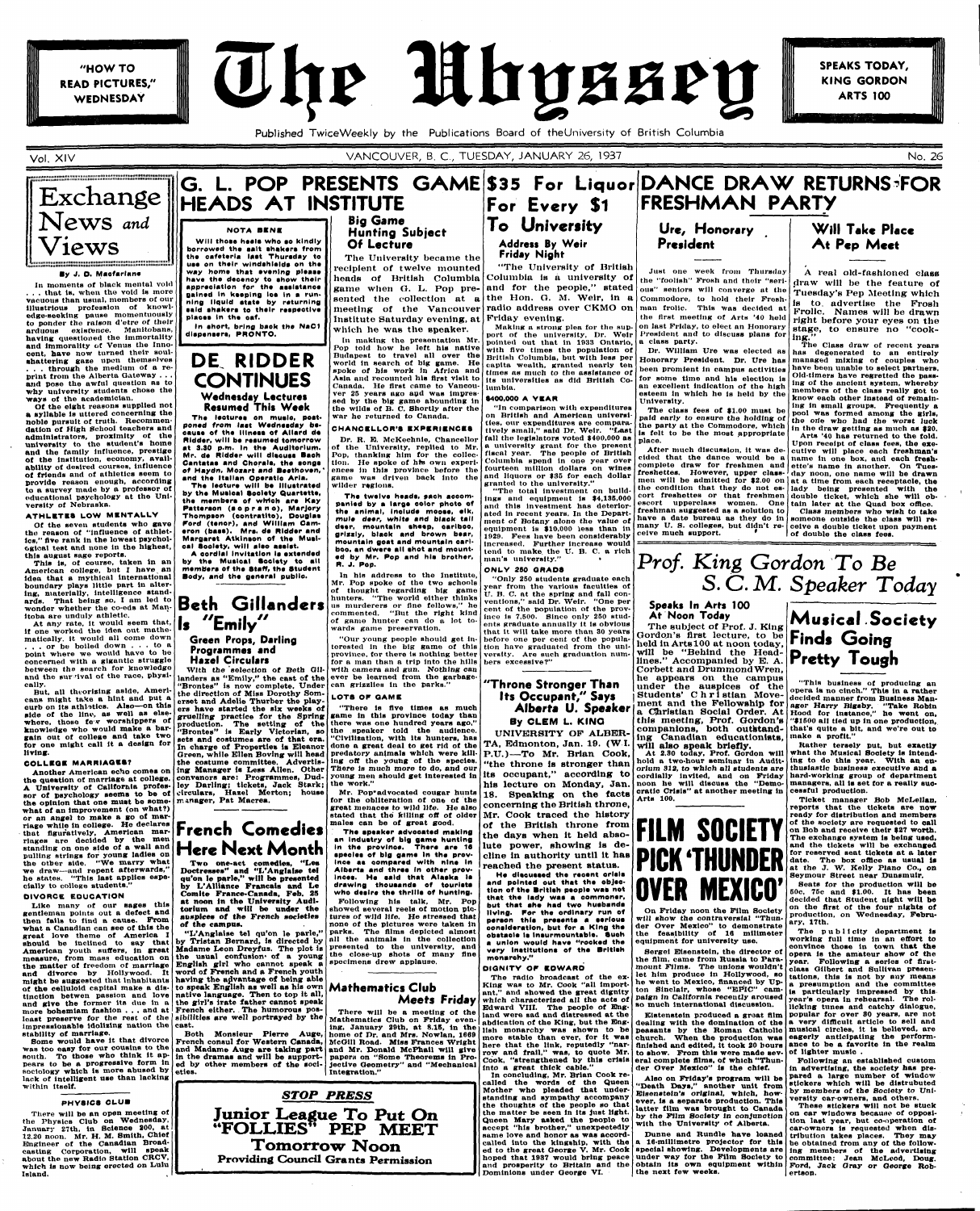"HOW TO **READ PICTURES,"** WEDNESDAY



**SPEAKS TODAY. KING GORDON ARTS 100** 

Published Twice Weekly by the Publications Board of theUniversity of British Columbia

### Exchange News and G. L. POP PRESENTS GAME \$35 For Liquor DANCE DRAW RETURNS<sup>-</sup>FOR **HEADS AT INSTITUTE**

**By J. O. Msofarlane In moments** *ot* **black mental void . . . that is, when the void ls more vacuous than usual, members of our illustrious profession of knowledge-seeking pause momentuously to ponder the ralaon d'etre of their arduous existence. Manitobons, having questioned the immortality and immorality of Venus the Innocent, have now turned their soulshattering gaae upon themselves . . . through the medium of a reprint trom the Alberta Gateway . . . and pose the awful question aa to**  why university students chose the

**Vol. XIV** VANCOUVER, B. C , TUESDAY, JANUARY 26, 1937 No. 26

**lumi'tiiuuii'iiuiMi** 

Views

**ways of the academician.** 

**Of the eight reasons supplied not a syllable ls uttered concerning the noble pursuit of truth. Recommendation of High School teachers and administrators, proximity of the university to the student's home and the family influence, prestige of the institution, economy, availability of desired courses, influence of friends and of athletics aeem to provide reason enough, according to a survey made by a professor of oducatlonal psychology at the Uni-**

**versity of Nebraska.** 

**ATHLETES LOW MENTALLY Of the seven students who gave tho reason of "influence of athletics," five rank in the lowest psychological test and none in the highest,** 

**thia august sage reports.** 

**This is, of course, taken in an American college, but I have, an idea that a mythical international boundary plays little part ln altering, materially, intelligence standards. That being so, I am led to wonder whether the co-eds at Man-**

**itoba are unduly athletic.** 

**At any rate, it would seem that, if one worked the idea out mathematically. It would all come down . . . or be boiled down .. . to a point where we would have to be concerned with a gigantic struggle** 

**cally.** 

**living.** 

**COLLEGE MARRIAGES?** 

**what of an improvement (on what?) or an angel to make a go of marriage while In college. Ho declares that figuratively, American mar-**

**A oordlsl Invitation la extended by ths Musioal Society to all membera of the Staff, the Student Body, and the general public.** 

**pulling strings for young ladies on the other side. "We marry what we draw—and repent afterwards," he states. "This last applies especially to college students."** 

#### **DIVORCE EDUCATION**

**Like many of our sages this gentleman points out a defect and then fails to find a cause. From what a Canadian can see of this the great love theme of America I ahould be inclined to say that American youth suffers, in great measure, from mass education on the matter of freedom of marriage and divorce by Hollywood. It might be suggested that Inhabitants of the celluloid capital make a disand give the former its due in a more bohemlam fashion . . . and at least preserve for the rest of the Impressionable idolizing nation the stability of marriage.** 

**Some would have it that divorce was too easy for our cousins to the south. To those who think it appears to be a progressive form in**  sociology which is more abused by eties. **lack of intelligent use than lacking within itself.** 

#### **PHYSICS CLUB**

**There will be an open meeting of the Physics Club on Wednesday, January 27th. In Science 200, at 12.20 noon. Mr. H. M. Smith, Chief Engineer of the Canadian Broadcasting Corporation, will speak about the new Radio Station CRCV, which is now being erected on Lulu Island.** 

# riages are decided of a wall and **Here Next Month**

**between the search for knowledge**  and the survival of the race, physi-But, all theorizing aside, Ameri**cans might take a hint and put a curb on Its athletics. Alao—on this side of the lino, as well as elsewhere, those le v worshippers of knowledge who would make a bargain out of college and take two for one might call it a design for Another American echo comes on the question of marriage at college. A University of California professor of psychology seems to be of the opinion that one must be some-With the 'selection of Beth Gillanders as "Emily," the cast of the "Brontes" is now complete. Under the direction of Miss Dorothy Somerset and Adelie Thurber the players have started the six weeks of gruelling practice for the Spring production. The setting of the "Brontes" is Early Victorian, so sets and costumes are of that era. In charge of Properties is Eleanor Green, while Ellen Boving will head the costume committee. Advertising Manager is Less Allen. Other convenors are: Programmes, Dudley Darling; tickets, Jack Stark; circulars, Hazel Merton; house rr. inager, Pat Macrea.** 

# riage while in college. He declares **French Comedies**

The twelve heads, each accom**psnled by s large color photo of ths animal, Include mooae, elk, mule deer, white and blaok toll dssr, mountsln sheep, osrlboo, grlssly, blsek snd brown bear, mountsln gost snd mountsln osrlboo, sn dwere all ahot and mounted by Mr. Pop snd his brother, R. J. Pop.** 

### **NOTA BENE**

**Will those heela who ao kindly borrowed tho sslt ahakers from the oafeterla laat Thuraday to uae on their windshlslds on tho way home that evening plssse have the deeeney to ahow their appreciation for the aaalatanee gained in keeping loa In a running liquid ststs by returning ssld shakers to thslr raapaotiva plaees In tho oaf.** 

**In short, bring baok tha NaC1 dlapanaora, PRONTO.** 

# **DE. RIDDER CONTINUES Wednesday Lectures Resumed This Week**

**The leotures en muslo, postponed from last Wednesdsy becauae ef the illnesa of Allard de Ridder, will be raaumsd tomorrow st 3.30 p.m. In ths Auditorium. Mr. de Ridder will discuss Bseh Csntstas snd Chorale, ths songs of Hsydn, Moasrt snd Beethoven,' snd the Italian Opsrstlo Arls.** 

**Ths leoture will be Illuatrated by the Muslesl Soelsty Quartette, tha members of whieh \*r\* Key**  Patterson (soprano), Marjory **Thompson (oontrstlto), Douglsa ford (tenor), snd William Cameron (bass). Mrs. ds Rlddsr snd Msrgsrst Atkinson of ths Musioal Sooiety, will also assist.** 

**tinction betwen passion and love native language. Then to top it all, word of French and a French youth having the advantage of being able to speak English as well as his own the girl's irate father cannot speak French either. . The humorous possibilities are well portrayed by the cast.** 



#### **Green Props, Darling Programmes and Hazel Circulars**

**By CLEM L. KINO UNIVERSITY OF ALBER-TA, Edmonton, Jan. 19. (WI. P.A., EQUIDITOR, JAR. 15. (W.A.**)<br>D.H.) Mr. Mr. Brian Cook **P.U.J--TO Mr. Brian COOK,**<br>"the throng is stronger than "the throne is stronger than its occupant," according to his lecture on Monday, Jan.

18. Speaking on the facts concerning the British throne, Mr. Cook traced the history **Mr.** OOK traced the motory<br>
of the Deltich theone from **of the British throne from che davs when it held abso-**

**Two one-act comedies, "Les Doctresses" and "L'Anglalse te] qu'on le parle," will be presented by L'Alliance Francais and Le Comite France-Canada, Feb. 25 at noon in the University Auditorium and will be under the auspices of the French societies of the campus.** 

> land were sad and distressed at the **abdication of the King, but the Bnglish monarchy was shown to be more stable than ever, for it was here that the link, reputedly "narrow and frail," was, to quote Mr. Cook, "strengthened by this crisis**

#### Big Game Hunting Subject-**Of Lecture**

The University became the recipient of twelve mounted Institute Saturday evening, at Friday evening. which he was the speaker.

**In making the presentation Mr. Pop told how he left his native Budapest to travel all over the world ln search of big game. He spoke of his work In Africa and Asia and recounted his flrst visit to Canada. He flrst came to Vancouver 25 years ago apd was impressed by the big game abounding ln the wilds of B. C. Shortly after the war he returned to Canada.** 

**Wil l Take Place**  At Pep Meet

#### **CHANCELLOR'S EXPERIENCES**

**Dr. R. E. McKechnie, Chancellor of the University, replied to Mr. Pop, thanking him for the collec**tion. He spoke of his own experi**ences in this province before the game was driven back into the wilder regions.** 

**"L'Anglalse tel qu'on le parle," by Tristan Bernard, is directed by Madame Leon Dreyfus. The plot ia the usual confusion\* of a young English girl who cannot speak a presented to the university, and the close-up shots of many fine specimens drew applause.** 

**In his address to the Institute, Mr. Pop spoke of the two schools of thought regarding big game**  "The world either thinks **us murderers or fine fellows," he commented. "But the right kind of game hunter can do a lot towards game preservation.** 

heads of British Columbia Columbia is a university of game when G. L. Pop pre- and for the people," stated sented the collection at  $a$  the Hon. G. M. Weir, in a meeting of the Vancouver radio address over CKMO on "The University of British

**"Our young people should get Interested ln the big game of this for a man than a trip into the hills with camera and gun. Nothing can ever be learned from the garbagecan grizzlies ln tbe parks."** 

> **Sergei Eisenstein, the director of the film, came from Russia to Paramount Films. The unions wouldn't let him produce in Hollywood, so he went to Mexico, financed by Upton Sinclair, whose "EPIC" campaign in California recently aroused so much international discussion.**

#### **LOTS OP GAME**

**"There ls Ave times as much game in this province today than there was one hundred years ago," the speaker told the audience. "Civilization, with its hunters, has done a great deal to get rid of the predatory animals which were killing oft the young ot the species. There is much more to do, and our young men should get interested ln the work."** 

> and prosperity to Britain and the **obtain its own equipment within Ford**, Jack Gray or George Rob-**Dunne and Rundle have loaned a 16-millimetre projector for this special showing. Developments are under way for the Film Society to the next few weeks.**

**Mr. Pop\* advocated cougar hunts for the obliteration of one of the great menaces to wild life. He also stated that the killing off of older males can be of great good. The spsaker sdvoosted making** 

**Both Monsieur Pierre Auge, French consul for Western Canada, and Madame Auge are taking part and Mr. Donald McPhail will give in the dramas and will be supported by other members of the socihome of Dr. and Mrs. Nowlan, 1669 McOill Road- Miss Frances Wright papers on "Some Theorems in Pro-jective Geometry" and "Mechanical Integration."** 

**sn Industry of big game hunting in the provlnee. There are 16**  species of big game in the prov**ince aa oompsred with nine In Alberta and throe In other provinces. He aald thst Alaska Is drawing thousands of tourists who dealre the thrllla of hunting. Following his talk, Mr. Pop showed several reels of motion pictures of wild life. He stressed that none of the pictures were taken in parks. The films depicted almost all the animals In the collection** 

lute power, showing is decline in authority until it has reached the present status. **He discussed the recent orisis** and pointed out that the objection of the **British people was not** that the lady was a commoner,<br>but that she had two husbands **put that she had two hessence**<br>Hying. For the ordinary run of person this presents a serious **consideration**, but for a King the **abstacle is insurmountable.** Such **a** union would have "rocked the very institutions of the British

#### **DIGNITY OF EDWARD**

**province, for there ls nothing better versity. Are such graduation num-"Only 250 students graduate each year from the various faculties of U. B. C. at the spring and fall con-ventions," said Dr. Weir. "One per cent of the population of the province ls 7,500. Since only 250 students graduate annually lt ls obvious that lt will take more than 30 years before one per cent of the population have graduated from the unibers excessive?"** 

**Making a strong plea for the support of the university, Dr. Weir pointed out that in 1833 Ontario, with Ave times the population of British Columbia, but with less per capita wealth, granted nearly ten times as much to the assistance of Its universities as did British Columbia.** 

#### **S400.000 A YEA R**

**"In comparison with expenditures on British and American universities, our expenditures are compara-tively small," said Dr. Weir. "Last fall the legislators voted \$400,000 as a university grant for the present fiscal year. The people of British Columbia spend ln one year over fourteen million dollars on wines and liquors or \$35 for each dollar granted to the university."** 

## For Every \$1 To University **Address By Weir Friday Night FRESHMAN PARTY**

**"The total investment on buildings and equipment Is \$4,135,000 and this Investment has deteriorated In recent years, in the Department of Botany alone the value of equipment is \$10,000 less than in 1929. Fees have been considerably Increased, Further Increase would tend to make, the U. B. C. a rich man's university." •** 

#### **ONLY 280 GRADS**



Mathematics Club *Meets Friday* 

> **There will be a meeting of the Mathematics Club on Friday evening, January 29th, at 8.IB, ln the**

*STOP PRESS*  **Junior League To Put On "FOLLIES\*<sup>5</sup> PEP MEET Tomorrow Noon**<br>**Providing Council Grants Permission Providing Council Grants Permission** 

### **Throne Stronger Than Its Occupant/' Says Alberta U. Speaker**

**monarchy."** 

**The radio broadcast of the ex-King was to Mr. Cook "all important," and showed the great dignity which characterized all the acts of Edward VIII. The people of Eng-**

**into a great thick cable." In concluding, Mr. Brian Cook re-**

**called the words of the Queen Mother who pleaded that under-standing and sympathy accompany the thoughts of the people ao that the matter be seen in its just light. Queen Mary asked the people to accept "his brother," unexpectedly same love and honor as was accordcalled into the kingship, with the ed to the great George V. Mr. Cook hoped that 1987 would bring peace Dominions under George VI.** 

**Just one week from Thursday the "foolish" Frosh and tholr "serious" seniors will converge at the Commodore, to hold their Freshman frolic. This was decided at the flrst meeting of Arts '40 held on last Friday, to elect an Honorary President and to discuss plans for a class party.** 

**Dr. William Ure was elected as Honorary President. Dr. Ure has been promlent in campus activities for some time and his election is an excellent indication of the high esteem in which he Is held by the University.** 

**The class fees of \$1.00 must be paid early** *to* **ensure the holding of the party at the Commodore, which is felt to be the most appropriate place.** 

After much discussion, it was de**cided that the dance would be a complete draw for freshmen and freshettes. However, upper classmen will be admitted for \$2.00 on the condition that they do not escort freshettes or that freshmen escort upperclass women. One freshman suggested aa a solution to have a date bureau as they do in many U. S. colleges, but didn't re**ceive much support.

A real old-fashioned class draw will be the feature of Tuesday's Pep Meeting which is to. advertise the Frosh Frolic. Names will be drawn right before your eyes on the stage, to ensure no "cook-

ing." **The Class draw of recent years has degenerated to an entirely managed mixing of couples who have been unable to select partners. Old-timers bave regretted the passing of the ancient system, whereby members of the class really got to know each other Instead of remain-ing in small groups. Frequently a pool was formed among the girls, the orte who had the worst luck** 

**In the draw getting as much as \$20. Arts '40 has returned to the fold. Upon receipt of class fees, the executive will place each freshman's name ln one box, and each treshette's name ln another. On Tuesday noon, one name will be drawn at a time from each receptacle, the**  lady being presented with the **double ticket, which she will obtain later at the Quad box office. Class members who wish to take Bomeone outside the class will re-**

**ceive a double ticket upon payment of double the class fees.** 

# *Prof. King Gordon To Be S.C\*M. Speaker Today*

**Speaks In Arts 100 At Noon Today** 

The subject of Prof. J. King Gordon's flrst lecture, to be held In Arts 100 at noon today, will be "Behind the Headlines." Accompanied by E. A. Corbett and Drummond Wren, he appears on the campus under the auspices of the<br>Students' Christian Move-Students' C **h r** i stian Movement and **the Fellowship for a Christian Social Order. At this meeting, Prof. Gordon's companions, both outstanding Canadian educationists,** 

**will also speak briefly. At 2.80 today. Prof. Gordon will hold a two-hour seminar in Audit-orium 312,** *to* **which all students are cordially invited, and on Friday noon he will discuss the "Demo-cratic Crisis" at another meeting in Arts 100.** 



**will show the contraversial "Thunder Over Mexico" to demonstrate the feasibility of 18 mllimeter equipment for university uae.** 

**Ktstenstein produced a graat film dealing with the domination of the peasants by the Roman Catholic church. When the production was finished and edited, it took 20 bours to show. From this were made sev-**

**eral complete Alms, of whioh "Thunder Over Mexico" is the chief.** 

**Also on Friday's program will be "Death Days," another unit from Eisenateln's original, which, however, la a separate production. This latter film was brought to Canada by the Film Society in conjunction with the University of Alberta.** 

Musical Society Finds Going Pretty Tough

**"This business of producing an opera ia no cinch." This in a rather decided manner from Business Man**ager Harry Bigsby. "Take Robin **Hood tor instance," he went on, "11600 all tied up in one production, that's quite a bit, and we're out to make a profit."** 

**Rather tersely put, but exactly what the Musical Sooiety is intending to do this year. With an en\* thuslastlc business executive and a hard-working group of department managers, all is set for a really successful production.** 

**Ticket manager Bob McLellan, reports that the tickets are now ready for distribution and members of the society are requested to call on Bob and receive their \$27 worth. The exchange system ls being used, and the tickets will be exchanged for reserved seat tickets at a later date. The box office as usual Is at the J. W. Kelly Piano Co., on Seymour Street near Dunsmulr. Seats for the production will be 60c, 75c and \$1.00. It has been decided that Student night will be on the flrst of the four nights of production, on Wednesday, February, 17th.**  The publicity department is **working full time in an effort to convince those in town that the opera ls the amateur show of the year. Following a series of first-class Gilbert and Sullivan presentations, this ls not hy any means a presumption and the committee ls particularly impressed by this year's opera ln rehearsal. The rollicking tunes and catchy dialogue, popular for over 80 years, are not a very difficult article to sell and musical circles, lt is believed, are eagerly anticipating the performance to be a favorite in the realm of lighter musio . Following an established custom ln advertising, the society has prepared a large number of window stickers which will be dlstrubuted by** *membera ot* **the Society** *to* **University car-owners, and others. These stickers will not be stuck**  on car windows because of opposi**tion last year, but co-operation of car-owners is requested when distribution takes places. They may be obtained from any of the following members of the advertising committee: Jean McLeod, Doug. ertson.**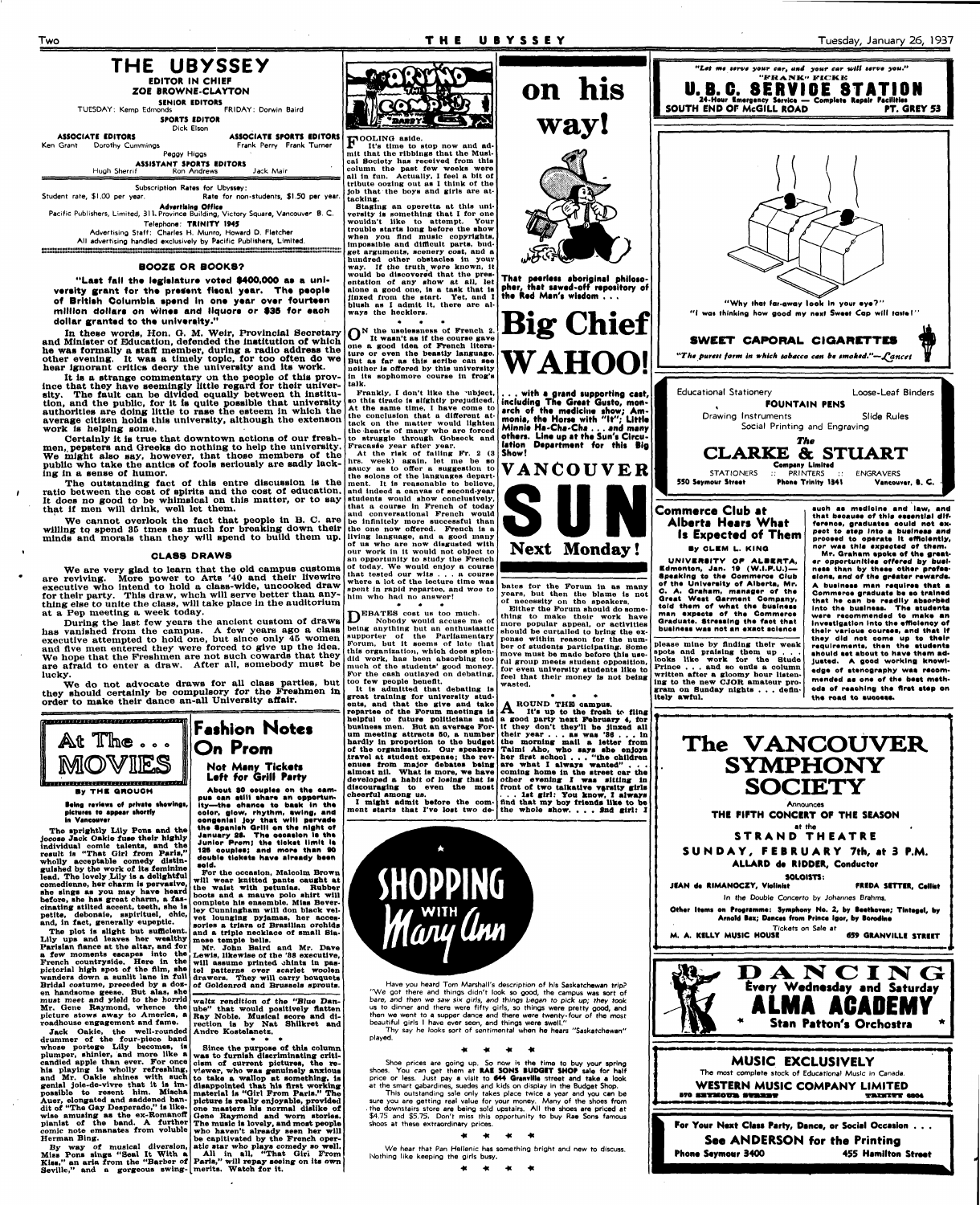**Two T H E UBYSSE Y Tuesday, January 26, 1937** 



**ZOE BROWNE-CLAYTON** 

**SENIOR EDITORS**<br>**TUESDAY:** Kemp Edmonds FRIDAY: Dorwin Baird **SPORTS EDITOR** 

**ASSOCIATE EDITORS ASSOCIATE SPORTS EDITORS**<br>
Grant Dorothy Cummings **ASSOCIATE SPORTS EDITORS** Ken Grant Dorothy Cummings Peggy Higgs

Student rate, \$1.00 per year. Subscription Rates for Ubyssey: Rate for non-students, \$1.50 per year. **Advertising Office**  Pacific Publishers, Limited, 311. Province Building, Victory Square, Vancouver B. C.

Dick Elson

**ASSISTANT SPORTS EDITORS** 

Hugh Sherrif Ron Andrews Jack Mair

"Last fall the legislature voted \$400,000 as a university grant for the present fiscal year. The people **of British Columbia spend In one year over fourteen**  million dollars on wines and liquors or \$35 for each **dollar granted to the university."** 

Telephone: **TRINITY 1W5**  Advertising Staff: Charles H. Munro, Howard D. Fletcher

All advertising handled exclusively by Pacific Publishers, Limited.

#### **BOOZE OR BOOKS?**

**In these words, Hon. G. M. Weir, Provincial Secretary and Minister of Education, defended the Institution of which he was formally a staff member, during a radio address the other evening. It was a timely topic, for too often do we hear ignorant critics decry the university and Its work.** 

**It ls a strange commentary on the people of thla province that they have seemingly little regard for their univer-talk.**  sity. The fault can be divided equally between th institution, and the public, for it is quite possible that university **authorities are doing little to rase the esteem In which the average citizen holds this university, although the extenson work is helping some.** 

**Certainly lt ls true that downtown actions of our freshmen,, popsters and Greeks do nothing to help the university. We might also say, however, that those members of the public who take the antics of fools seriously are sadly lacking in a sense of humor.** 

**The outstanding fact of this entre discussion ls the ratio between the cost of spirits and the cost of education. It does no good to be whimsical on this matter, or to say that If men will drink, well let them.** 

Lily ups and leaves her wealthy mese temple bells. **Parisian nance at the altar, and for a few momenta escapes into the French countryside. Here in the pictorial high spot of the film, she wanders down a sunlit lane in full Bridal costume, preceded by a dozen handsome geese. But alas, she must meet and yield to the horrid Mr. Gene Raymond, whence the picture stows away to America, a roadhouse engagement and fame.** 

**We cannot overlook the fact that people In B. C. are**  willing to spend 35 tmes as much for breaking down their **minds and morals than they will spend to build them up.** 

#### **CLA88 DRAWS**

**We are very glad to learn that the old campus customs are reviving. More power to Arts '40 and their livewire executive who intend to hold a class-wide, uncooked draw for their party. This draw, wheh will serve better than anything else** *to* **unite the class, will take place in the auditorium at a Pep meeting a week today.** 

**During the last few years the ancient custom of draws has vanished from the campus. A few years ago a class executive attempted to hold one, but since only 45 women and five men entered they were forced to give up the Idea. We hope that the Freshmen are not such cowards that they are afraid to enter a draw. After all, somebody must be lucky.** 

**We do not advocate draws for all class parties, but they should certainly be compulsory for the Freshmen ln order to make their dance an-all University affair.** 

**Tho sprightly Lilly Pons and the** 



**jocose Jack Oakie fuse their highly individual comic talents, nnd the result is "That Girl from Paris," -wholly acceptable comedy distinguished by the work of its feminine lead. The lovely .Lily is a delightful comedienne, her charm is pervasive, she sings as you may have heard before, she has great charm, a fascinating stilted accent, teeth, she is petite, debonaie, sspirituel, chic, and, in fact, generally eupeptic.** 

**At the risk of tailing Fr. 2 (3 lira, week) again, let me be so saucy as to offer a suggestion to the solons ot the languages department. It ls reasonable to believe, and Indeed a canvas of second-year students would show conclusively, that a course in French of today and conversational French would be infinitely more successful than the one now offered. French ls a living language, and a good many of us who are now disgusted with our work in it would not object to an opportunity to study the French of today. We would enjoy a course that tested our wits .. . a course where a lot ot the lecture time was**  where a jot of the lecture time was<br>spent in rapid repartee, and woe to<br>him who had no answer! him who had no answer!

DEBATES cost us too much.<br>Nobody would accuse me **Nobody would accuse me of being anything but an enthusiastic supporter of the Parliamentary Forum, but it soems of late that this organization, which does splendid work, has been absorbing too much of the students' good money. For the cash outlayed on debating, too few people benefit.** 

**Jack Oakie, the well-rounded drummer of the four-piece band whose portege Lily becomes, is plumper, shinier, and more like a candied apple than ever. For once his playing is wholly refreshing, and Mr. Oakie shines with such genial Jole-de-vlvre that it la Impossible to resent him. Mischa Auer, elongated and saddened bandit of "The Gay Desperado," is likewise amusing as the ex-Romanoff Herman Bing.** 

**The plot is slight but sufficient. and a triple necklace of small Sia-For the occasion, Malcolm Brown will wear knitted pants caught at the waist with petunias. Rubber boots and a mauve polo shirt will complete his ensemble. Miss Bever-ley Cunningham will don black velvet lounging pyjamas, her accessories a triara of Brazilian orchids** 

That peerless aboriginal philosopher, that sawed-off repository of **the Red Man's wisdom . . ,** 



**January SS. Ths oeosslon lo ths Junior Prom; the tlekot limit Is 188 oouples; snd mors than 90 double tickets have already been sold.** 

A ROUND THE campus.<br>
It's up to the frosh **It's up to the frosh to fling a good party next February 4, for If they don't they'll be Jinxed all their year .. . as was '88 . . . In the morning mall a letter from Taimi Aho, wbo says sho enjoys her flrst school . . . "the children are what I always wanted" . . . coming home In the street car the other evening I was sitting In front of two talkative varsity girls . . . 1st girl: You know, I always And that my boy friends like to be the whole show. . . . Snd girl: I** 

Have you heard Tom Marshall's description of his Saskatchewan trip? "We got there and things didn't look so good, the campus was sort of bare, and then we saw six girls, and things began to pick up; they took us to dinner and there were fifty girls, so things were pretty good, and then we went to a supper dance and there were twenty-four of the most beautiful girls I have ever seen, and things were swell."

**pianist of the band. A further The music is lovely, and most people comic note emanates from voluble who haven't already seen her will Since the purpose of this column was to furnish discriminating criticism of current pictures, the re-viewer, who was genuinely anxious to take a wallop at something, is disappointed that his first working material is "Girl From Paris." The picture is really enjoyable, provided one masters his normal dislike of Gene Raymond and worn stories. be capitlvated by the French operatic star who plays comedy so well.** 

**By way of musical diversion, Miss Pons sings "Seal It With a Kiss," an aria from the "Barber of Seville," and a gorgeous swing-merits. Watch for it. All in all, "That Giri From Paris," will repay seeing on its own** 

**Mr. John Baird and Mr. Dave Lewis, likewise of the '38 executive, will assume printed .hints in pas-tel patterns over scarlet woolen drawers. They will carry bouquets of Ooldenrod and Brussels sprouts.** 

**waits rendition of the "Blue Dan-ube" that would positively flatten Ray Noble. Musical score and direction is by Nat Shilkret and Andre Kostelanetz.** 

**• \* \*** 

*"Let m« \*\*rv\* your car, and your car will t\*rva you."*  "FRANK" FICKE

**F OOLING aside. It's time to stop now and admit that the ribbings that the Musical Society has received from this column the past few weeks were all in fun. Actually, I feel a bit of tribute oozing out as I think of the job that the boys and girls are attacking.** 

**Staging an operetta at this university is something that I for one wouldn't like to attempt. Your trouble starts long before the show when you And music copyrights, Impossible and difficult parts, budget arguments, scenery cost, and a hundred other obstacles In your**  If the truth were known, it **would be dlscovere'd that the presentation of any show at all, let alone a good one, is a task that is jinxed from the start. Yet, and I blush as I admit It, there are always the hecklers.** 

**• • \* O N the uselessness ot French 2. It wasn't as if the course gave one a good idea of French literature or even the beastly language. But as far as this scribe can see neither is offered by this university in its sophomore course ln frog's** 

**Frankly, I don't like the •ubject, so this tirade ls slightly prejudiced. At the same time, I have come to the conclusion that a different attack on the matter would lighten the hearts of many who are forced to struggle through Gobaeck and Fracaste year after year.** 

**It ls admitted that debating is great training for university students, and that the give and take repartee ot the Forum meetings is helpful to future politicians and business men. But an average Forum meeting attracts 50, a number hardly In proportion to the budget of the organisation. Our speakers travel at student expense; the revenues from major debates being almost nil. What Is more, we have developed a habit of losing that is discouraging to even the most cheerful among us.** 

**I might admit before the comment starts that I've lost two de-**



**Big Chief WAHOO!** 

**. . . with a grand supporting east,**  including The Great Gusto, monarch of the medicine show; Am**monia, th\* Hor\*\* with "It"; Little Minni\* Ha-Cha-Cha . . . and many others. Line up at the Sun's Circulation Department for this Big Show!** 



**bates for the Forum in as many years, but then the blame ls not of necessity on the speakers.** 

**Either the Forum should do something to make their work have more popular appeal, or activities should be curtailed to bring the expense within reason for the number of students participating. Some move must be made before this useful group meets student opposition, for even unlveralty students like to feel that their money is not being wasted.** 



Thy say he looks sort of sentimental when he hears "Saskatchewan" played.

> 一般 一般  $\frac{1}{2}$

Shoe prices are going up. So now is the time to buy your spring shoes. You can get them at **RAB SONS BUDGIT SHOP** sale for half price or less. Just pay a visit to **644 Oranvllle** street and **take a** look at the smart gabardines, suedes and kids on display in the Budget Shop.

This outstanding sale only takes place twice a year and you can be sure you are getting real value for your money. Many of the shoes from . the downstairs store are being sold upstairs. All the shoes are priced at \$4.75 and \$5.75. Don't miss this opportunity to buy Rae Sons famous shoos at these extraordinary prices.

> $\overline{\phantom{a}}$  $\overline{\phantom{a}}$ -48

We hear that Pan Hellenic has something bright and new to discuss. Nothing like keeping the girls busy.

> $\overline{\phantom{a}}$  $\overline{a}$  $\ddot{\phantom{1}}$

## **By CLBM L. KINO**



**UNIVBftSITY OP ALBBRTA, Bdmonton, Jan. 1» (W.I.P.U.)— Speaking to the Commerce Club of the Unlveralty of Alberts, Mr. C. A. Graham,** m\*n\*g\*r **ot ths Great Weat Garment Company, told them of what the businsss man axpsets of the Commerce Graduate. Streaalng the fact thst business wss not sn exaot eelenoe** 

**please mine by finding their weak spots and praising them up . . . looks like work tor the Stude Prince . . . and so ends a column written after a gloomy hour listen-ing to the new CJOR amateur program on Sunday nights . . . definitely awful.** 

**pact to etep Into a buslnssa and proesod to opsrats It efficiently, nor wss this sxpsoted of them. Mr. Graham spoke of the greater opportunities offered by business than by thsss other professions, and of the greater rawarda. A bualnsss man requires thst a Commsree graduate bs so trained thst he oan bs rssdlly absorbed Into tho business. The etudente ware reoommendad to make an Inveatlgatlon Into the efficiency of**  their various courses, and that if<br>they did not come up to their **they did not eome up to their requlrementa, than the studanta ahould sst about to hsvs thsm ad-Justed. A good working knowl**edge of stenography was recom**mendad as ono of the best mothods of reaohlng the first step on the road to euooess.**